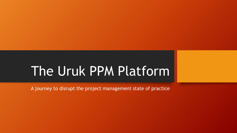## The Uruk PPM Platform

A journey to disrupt the project management state of practice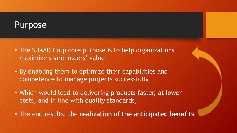#### Purpose

- The SUKAD Corp core purpose is to help organizations maximize shareholders' value,
- By enabling them to optimize their capabilities and competence to manage projects successfully,
- Which would lead to delivering products faster, at lower costs, and in line with quality standards,
- The end results: the **realization of the anticipated benefits**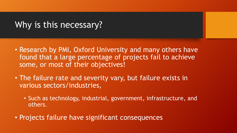#### Why is this necessary?

- Research by PMI, Oxford University and many others have found that a large percentage of projects fail to achieve some, or most of their objectives!
- The failure rate and severity vary, but failure exists in various sectors/industries,
	- Such as technology, industrial, government, infrastructure, and others.
- Projects failure have significant consequences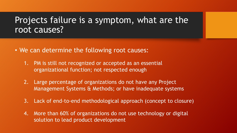#### Projects failure is a symptom, what are the root causes?

- We can determine the following root causes:
	- 1. PM is still not recognized or accepted as an essential organizational function; not respected enough
	- 2. Large percentage of organizations do not have any Project Management Systems & Methods; or have inadequate systems
	- 3. Lack of end-to-end methodological approach (concept to closure)
	- 4. More than 60% of organizations do not use technology or digital solution to lead product development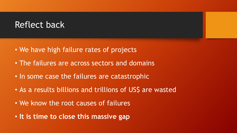#### Reflect back

- We have high failure rates of projects
- The failures are across sectors and domains
- In some case the failures are catastrophic
- As a results billions and trillions of US\$ are wasted
- We know the root causes of failures
- **It is time to close this massive gap**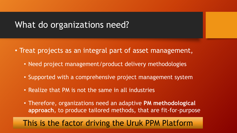#### What do organizations need?

- Treat projects as an integral part of asset management,
	- Need project management/product delivery methodologies
	- Supported with a comprehensive project management system
	- Realize that PM is not the same in all industries
	- Therefore, organizations need an adaptive **PM methodological approach**, to produce tailored methods, that are fit-for-purpose

#### This is the factor driving the Uruk PPM Platform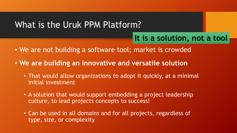#### What is the Uruk PPM Platform?

#### It is a solution, not a tool

- We are not building a software tool; market is crowded
- **We are building an innovative and versatile solution**
	- That would allow organizations to adopt it quickly, at a minimal initial investment
	- A solution that would support embedding a project leadership culture, to lead projects concepts to success!
	- Can be used in all domains and for all projects, regardless of type, size, or complexity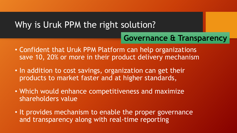#### Why is Uruk PPM the right solution?

#### **Governance & Transparency**

- Confident that Uruk PPM Platform can help organizations save 10, 20% or more in their product delivery mechanism
- In addition to cost savings, organization can get their products to market faster and at higher standards,
- Which would enhance competitiveness and maximize shareholders value
- It provides mechanism to enable the proper governance and transparency along with real-time reporting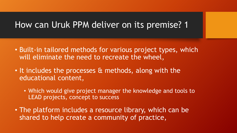#### How can Uruk PPM deliver on its premise? 1

- Built-in tailored methods for various project types, which will eliminate the need to recreate the wheel,
- It includes the processes & methods, along with the educational content,
	- Which would give project manager the knowledge and tools to LEAD projects, concept to success
- The platform includes a resource library, which can be shared to help create a community of practice,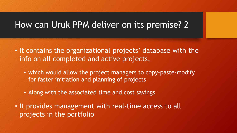#### How can Uruk PPM deliver on its premise? 2

- It contains the organizational projects' database with the info on all completed and active projects,
	- which would allow the project managers to copy-paste-modify for faster initiation and planning of projects
	- Along with the associated time and cost savings
- It provides management with real-time access to all projects in the portfolio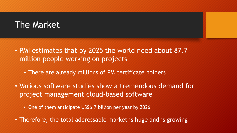#### The Market

- PMI estimates that by 2025 the world need about 87.7 million people working on projects
	- There are already millions of PM certificate holders
- Various software studies show a tremendous demand for project management cloud-based software
	- One of them anticipate US\$6.7 billion per year by 2026
- Therefore, the total addressable market is huge and is growing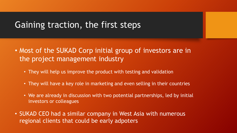#### Gaining traction, the first steps

- Most of the SUKAD Corp initial group of investors are in the project management industry
	- They will help us improve the product with testing and validation
	- They will have a key role in marketing and even selling in their countries
	- We are already in discussion with two potential partnerships, led by initial investors or colleagues
- SUKAD CEO had a similar company in West Asia with numerous regional clients that could be early adpoters